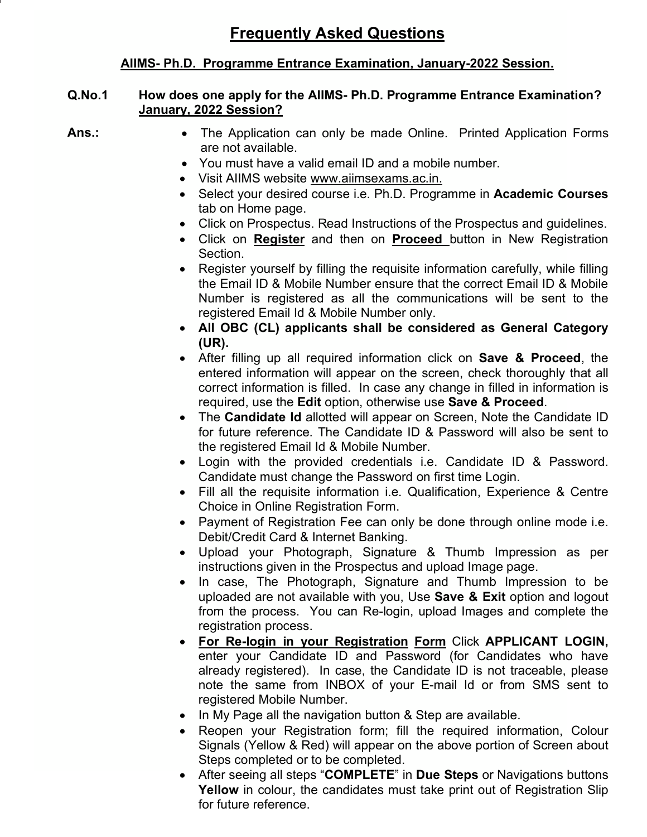# **AIIMS- Ph.D. Programme Entrance Examination, January-2022 Session.**

### **Q.No.1 How does one apply for the AIIMS- Ph.D. Programme Entrance Examination? January, 2022 Session?**

- Ans.: • The Application can only be made Online. Printed Application Forms are not available.
	- You must have a valid email ID and a mobile number.
	- Visit AIIMS website www.aiimsexams.ac.in.
	- Select your desired course i.e. Ph.D. Programme in **Academic Courses** tab on Home page.
	- Click on Prospectus. Read Instructions of the Prospectus and guidelines.
	- Click on **Register** and then on **Proceed** button in New Registration Section.
	- Register yourself by filling the requisite information carefully, while filling the Email ID & Mobile Number ensure that the correct Email ID & Mobile Number is registered as all the communications will be sent to the registered Email Id & Mobile Number only.
	- **All OBC (CL) applicants shall be considered as General Category (UR).**
	- After filling up all required information click on **Save & Proceed**, the entered information will appear on the screen, check thoroughly that all correct information is filled. In case any change in filled in information is required, use the **Edit** option, otherwise use **Save & Proceed**.
	- The **Candidate Id** allotted will appear on Screen, Note the Candidate ID for future reference. The Candidate ID & Password will also be sent to the registered Email Id & Mobile Number.
	- Login with the provided credentials i.e. Candidate ID & Password. Candidate must change the Password on first time Login.
	- Fill all the requisite information i.e. Qualification, Experience & Centre Choice in Online Registration Form.
	- Payment of Registration Fee can only be done through online mode i.e. Debit/Credit Card & Internet Banking.
	- Upload your Photograph, Signature & Thumb Impression as per instructions given in the Prospectus and upload Image page.
	- In case, The Photograph, Signature and Thumb Impression to be uploaded are not available with you, Use **Save & Exit** option and logout from the process. You can Re-login, upload Images and complete the registration process.
	- **For Re-login in your Registration Form** Click **APPLICANT LOGIN,** enter your Candidate ID and Password (for Candidates who have already registered). In case, the Candidate ID is not traceable, please note the same from INBOX of your E-mail Id or from SMS sent to registered Mobile Number.
	- In My Page all the navigation button & Step are available.
	- Reopen your Registration form; fill the required information, Colour Signals (Yellow & Red) will appear on the above portion of Screen about Steps completed or to be completed.
	- After seeing all steps "**COMPLETE**" in **Due Steps** or Navigations buttons **Yellow** in colour, the candidates must take print out of Registration Slip for future reference.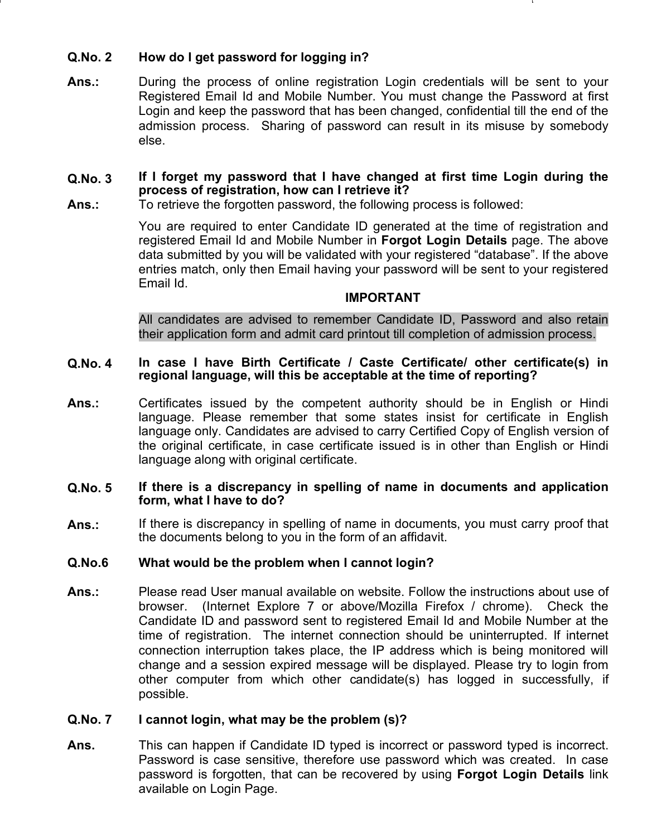# **Q.No. 2 How do I get password for logging in?**

**Ans.:** During the process of online registration Login credentials will be sent to your Registered Email Id and Mobile Number. You must change the Password at first Login and keep the password that has been changed, confidential till the end of the admission process. Sharing of password can result in its misuse by somebody else.

### **Q.No. 3 If I forget my password that I have changed at first time Login during the process of registration, how can I retrieve it?**

**Ans.:** To retrieve the forgotten password, the following process is followed:

You are required to enter Candidate ID generated at the time of registration and registered Email Id and Mobile Number in **Forgot Login Details** page. The above data submitted by you will be validated with your registered "database". If the above entries match, only then Email having your password will be sent to your registered Email Id.

#### **IMPORTANT**

All candidates are advised to remember Candidate ID, Password and also retain their application form and admit card printout till completion of admission process.

#### **Q.No. 4 In case I have Birth Certificate / Caste Certificate/ other certificate(s) in regional language, will this be acceptable at the time of reporting?**

**Ans.:** Certificates issued by the competent authority should be in English or Hindi language. Please remember that some states insist for certificate in English language only. Candidates are advised to carry Certified Copy of English version of the original certificate, in case certificate issued is in other than English or Hindi language along with original certificate.

#### **Q.No. 5 If there is a discrepancy in spelling of name in documents and application form, what I have to do?**

**Ans.:** If there is discrepancy in spelling of name in documents, you must carry proof that the documents belong to you in the form of an affidavit.

## **Q.No.6 What would be the problem when I cannot login?**

**Ans.:** Please read User manual available on website. Follow the instructions about use of browser. (Internet Explore 7 or above/Mozilla Firefox / chrome). Check the Candidate ID and password sent to registered Email Id and Mobile Number at the time of registration. The internet connection should be uninterrupted. If internet connection interruption takes place, the IP address which is being monitored will change and a session expired message will be displayed. Please try to login from other computer from which other candidate(s) has logged in successfully, if possible.

## **Q.No. 7 I cannot login, what may be the problem (s)?**

**Ans.** This can happen if Candidate ID typed is incorrect or password typed is incorrect. Password is case sensitive, therefore use password which was created. In case password is forgotten, that can be recovered by using **Forgot Login Details** link available on Login Page.